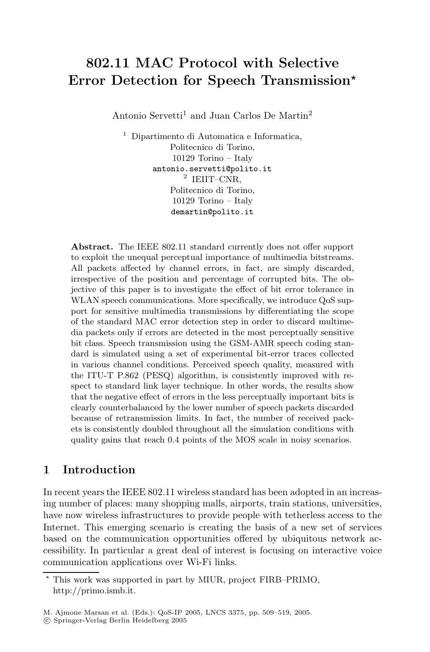# **802.11 MAC Protocol with Selective Error Detection for Speech Transmission**

Antonio Servetti<sup>1</sup> and Juan Carlos De Martin<sup>2</sup>

<sup>1</sup> Dipartimento di Automatica e Informatica, Politecnico di Torino, 10129 Torino – Italy antonio.servetti@polito.it <sup>2</sup> IEIIT–CNR, Politecnico di Torino, 10129 Torino – Italy demartin@polito.it

**Abstract.** The IEEE 802.11 standard currently does not offer support to exploit the unequal perceptual importance of multimedia bitstreams. All packets affected by channel errors, in fact, are simply discarded, irrespective of the position and percentage of corrupted bits. The objective of this paper is to investigate the effect of bit error tolerance in WLAN speech communications. More specifically, we introduce QoS support for sensitive multimedia transmissions by differentiating the scope of the standard MAC error detection step in order to discard multimedia packets only if errors are detected in the most perceptually sensitive bit class. Speech transmission using the GSM-AMR speech coding standard is simulated using a set of experimental bit-error traces collected in various channel conditions. Perceived speech quality, measured with the ITU-T P.862 (PESQ) algorithm, is consistently improved with respect to standard link layer technique. In other words, the results show that the negative effect of errors in the less perceptually important bits is clearly counterbalanced by the lower number of speech packets discarded because of retransmission limits. In fact, the number of received packets is consistently doubled throughout all the simulation conditions with quality gains that reach 0.4 points of the MOS scale in noisy scenarios.

# **1 Introduction**

In recent years the IEEE 802.11 wireless standard has been adopted in an increasing number of places: many shopping malls, airports, train stations, universities, have now wireless infrastructures to provide people with tetherless access to the Internet. This emerging scenario is creating the basis of a new set of services based on the communication opportunities offered by ubiquitous network accessibility. In particular a great deal of interest is focusing on interactive voice communication applications over Wi-Fi links.

 $^\star$  This work was supported in part by MIUR, project FIRB–PRIMO, http://primo.ismb.it.

c Springer-Verlag Berlin Heidelberg 2005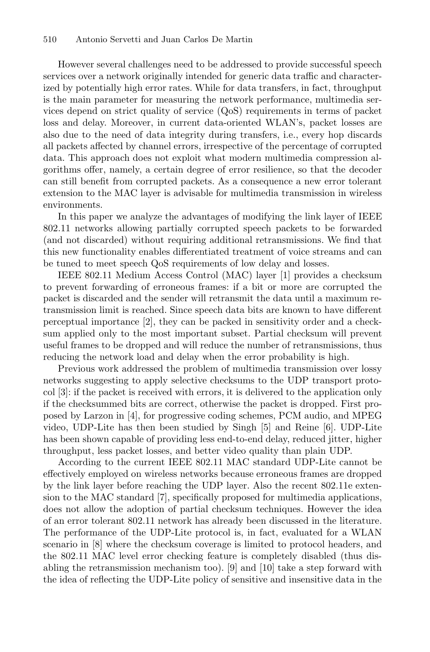However several challenges need to be addressed to provide successful speech services over a network originally intended for generic data traffic and characterized by potentially high error rates. While for data transfers, in fact, throughput is the main parameter for measuring the network performance, multimedia services depend on strict quality of service (QoS) requirements in terms of packet loss and delay. Moreover, in current data-oriented WLAN's, packet losses are also due to the need of data integrity during transfers, i.e., every hop discards all packets affected by channel errors, irrespective of the percentage of corrupted data. This approach does not exploit what modern multimedia compression algorithms offer, namely, a certain degree of error resilience, so that the decoder can still benefit from corrupted packets. As a consequence a new error tolerant extension to the MAC layer is advisable for multimedia transmission in wireless environments.

In this paper we analyze the advantages of modifying the link layer of IEEE 802.11 networks allowing partially corrupted speech packets to be forwarded (and not discarded) without requiring additional retransmissions. We find that this new functionality enables differentiated treatment of voice streams and can be tuned to meet speech QoS requirements of low delay and losses.

IEEE 802.11 Medium Access Control (MAC) layer [1] provides a checksum to prevent forwarding of erroneous frames: if a bit or more are corrupted the packet is discarded and the sender will retransmit the data until a maximum retransmission limit is reached. Since speech data bits are known to have different perceptual importance [2], they can be packed in sensitivity order and a checksum applied only to the most important subset. Partial checksum will prevent useful frames to be dropped and will reduce the number of retransmissions, thus reducing the network load and delay when the error probability is high.

Previous work addressed the problem of multimedia transmission over lossy networks suggesting to apply selective checksums to the UDP transport protocol [3]: if the packet is received with errors, it is delivered to the application only if the checksummed bits are correct, otherwise the packet is dropped. First proposed by Larzon in [4], for progressive coding schemes, PCM audio, and MPEG video, UDP-Lite has then been studied by Singh [5] and Reine [6]. UDP-Lite has been shown capable of providing less end-to-end delay, reduced jitter, higher throughput, less packet losses, and better video quality than plain UDP.

According to the current IEEE 802.11 MAC standard UDP-Lite cannot be effectively employed on wireless networks because erroneous frames are dropped by the link layer before reaching the UDP layer. Also the recent 802.11e extension to the MAC standard [7], specifically proposed for multimedia applications, does not allow the adoption of partial checksum techniques. However the idea of an error tolerant 802.11 network has already been discussed in the literature. The performance of the UDP-Lite protocol is, in fact, evaluated for a WLAN scenario in [8] where the checksum coverage is limited to protocol headers, and the 802.11 MAC level error checking feature is completely disabled (thus disabling the retransmission mechanism too). [9] and [10] take a step forward with the idea of reflecting the UDP-Lite policy of sensitive and insensitive data in the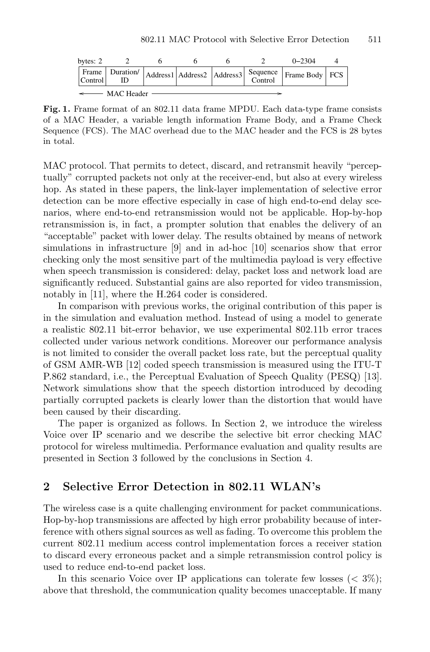| bytes: $2$ |  |  |  |  |  | $0 - 2304$                                                                       |  |
|------------|--|--|--|--|--|----------------------------------------------------------------------------------|--|
|            |  |  |  |  |  | Frame   Duration/   Address1   Address2   Address3   Sequence   Frame Body   FCS |  |
|            |  |  |  |  |  |                                                                                  |  |

**Fig. 1.** Frame format of an 802.11 data frame MPDU. Each data-type frame consists of a MAC Header, a variable length information Frame Body, and a Frame Check Sequence (FCS). The MAC overhead due to the MAC header and the FCS is 28 bytes in total.

MAC protocol. That permits to detect, discard, and retransmit heavily "perceptually" corrupted packets not only at the receiver-end, but also at every wireless hop. As stated in these papers, the link-layer implementation of selective error detection can be more effective especially in case of high end-to-end delay scenarios, where end-to-end retransmission would not be applicable. Hop-by-hop retransmission is, in fact, a prompter solution that enables the delivery of an "acceptable" packet with lower delay. The results obtained by means of network simulations in infrastructure [9] and in ad-hoc [10] scenarios show that error checking only the most sensitive part of the multimedia payload is very effective when speech transmission is considered: delay, packet loss and network load are significantly reduced. Substantial gains are also reported for video transmission, notably in [11], where the H.264 coder is considered.

In comparison with previous works, the original contribution of this paper is in the simulation and evaluation method. Instead of using a model to generate a realistic 802.11 bit-error behavior, we use experimental 802.11b error traces collected under various network conditions. Moreover our performance analysis is not limited to consider the overall packet loss rate, but the perceptual quality of GSM AMR-WB [12] coded speech transmission is measured using the ITU-T P.862 standard, i.e., the Perceptual Evaluation of Speech Quality (PESQ) [13]. Network simulations show that the speech distortion introduced by decoding partially corrupted packets is clearly lower than the distortion that would have been caused by their discarding.

The paper is organized as follows. In Section 2, we introduce the wireless Voice over IP scenario and we describe the selective bit error checking MAC protocol for wireless multimedia. Performance evaluation and quality results are presented in Section 3 followed by the conclusions in Section 4.

## **2 Selective Error Detection in 802.11 WLAN's**

The wireless case is a quite challenging environment for packet communications. Hop-by-hop transmissions are affected by high error probability because of interference with others signal sources as well as fading. To overcome this problem the current 802.11 medium access control implementation forces a receiver station to discard every erroneous packet and a simple retransmission control policy is used to reduce end-to-end packet loss.

In this scenario Voice over IP applications can tolerate few losses (*<* 3%); above that threshold, the communication quality becomes unacceptable. If many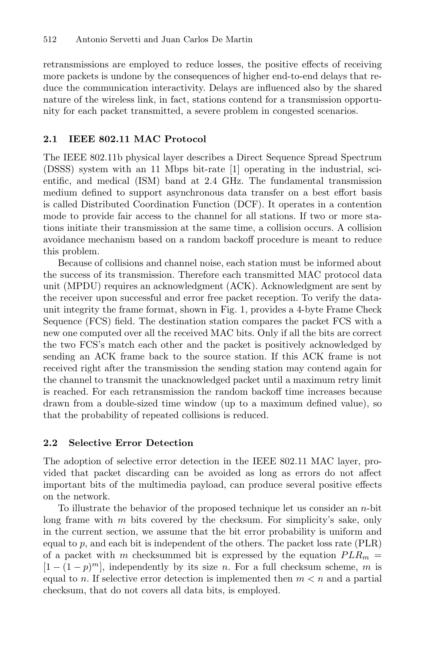retransmissions are employed to reduce losses, the positive effects of receiving more packets is undone by the consequences of higher end-to-end delays that reduce the communication interactivity. Delays are influenced also by the shared nature of the wireless link, in fact, stations contend for a transmission opportunity for each packet transmitted, a severe problem in congested scenarios.

#### **2.1 IEEE 802.11 MAC Protocol**

The IEEE 802.11b physical layer describes a Direct Sequence Spread Spectrum (DSSS) system with an 11 Mbps bit-rate [1] operating in the industrial, scientific, and medical (ISM) band at 2.4 GHz. The fundamental transmission medium defined to support asynchronous data transfer on a best effort basis is called Distributed Coordination Function (DCF). It operates in a contention mode to provide fair access to the channel for all stations. If two or more stations initiate their transmission at the same time, a collision occurs. A collision avoidance mechanism based on a random backoff procedure is meant to reduce this problem.

Because of collisions and channel noise, each station must be informed about the success of its transmission. Therefore each transmitted MAC protocol data unit (MPDU) requires an acknowledgment (ACK). Acknowledgment are sent by the receiver upon successful and error free packet reception. To verify the dataunit integrity the frame format, shown in Fig. 1, provides a 4-byte Frame Check Sequence (FCS) field. The destination station compares the packet FCS with a new one computed over all the received MAC bits. Only if all the bits are correct the two FCS's match each other and the packet is positively acknowledged by sending an ACK frame back to the source station. If this ACK frame is not received right after the transmission the sending station may contend again for the channel to transmit the unacknowledged packet until a maximum retry limit is reached. For each retransmission the random backoff time increases because drawn from a double-sized time window (up to a maximum defined value), so that the probability of repeated collisions is reduced.

#### **2.2 Selective Error Detection**

The adoption of selective error detection in the IEEE 802.11 MAC layer, provided that packet discarding can be avoided as long as errors do not affect important bits of the multimedia payload, can produce several positive effects on the network.

To illustrate the behavior of the proposed technique let us consider an *n*-bit long frame with *m* bits covered by the checksum. For simplicity's sake, only in the current section, we assume that the bit error probability is uniform and equal to  $p$ , and each bit is independent of the others. The packet loss rate (PLR) of a packet with *m* checksummed bit is expressed by the equation  $PLR_m =$  $[1 - (1 - p)^m]$ , independently by its size *n*. For a full checksum scheme, *m* is equal to *n*. If selective error detection is implemented then  $m < n$  and a partial checksum, that do not covers all data bits, is employed.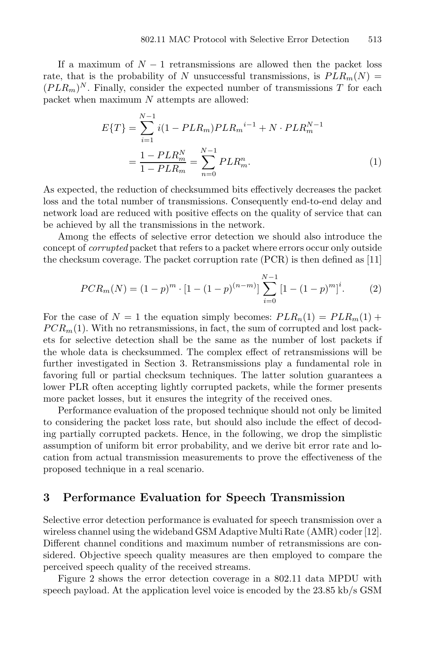If a maximum of *N −* 1 retransmissions are allowed then the packet loss rate, that is the probability of *N* unsuccessful transmissions, is  $PLR_m(N) =$  $(PLR_m)^N$ . Finally, consider the expected number of transmissions *T* for each packet when maximum *N* attempts are allowed:

$$
E\{T\} = \sum_{i=1}^{N-1} i(1 - PLR_m)PLR_m^{i-1} + N \cdot PLR_m^{N-1}
$$

$$
= \frac{1 - PLR_m^N}{1 - PLR_m} = \sum_{n=0}^{N-1} PLR_m^n.
$$
 (1)

As expected, the reduction of checksummed bits effectively decreases the packet loss and the total number of transmissions. Consequently end-to-end delay and network load are reduced with positive effects on the quality of service that can be achieved by all the transmissions in the network.

Among the effects of selective error detection we should also introduce the concept of *corrupted* packet that refers to a packet where errors occur only outside the checksum coverage. The packet corruption rate (PCR) is then defined as [11]

$$
PCR_m(N) = (1-p)^m \cdot [1-(1-p)^{(n-m)}] \sum_{i=0}^{N-1} [1-(1-p)^m]^i.
$$
 (2)

For the case of  $N = 1$  the equation simply becomes:  $PLR_n(1) = PLR_m(1) +$  $PCR<sub>m</sub>(1)$ . With no retransmissions, in fact, the sum of corrupted and lost packets for selective detection shall be the same as the number of lost packets if the whole data is checksummed. The complex effect of retransmissions will be further investigated in Section 3. Retransmissions play a fundamental role in favoring full or partial checksum techniques. The latter solution guarantees a lower PLR often accepting lightly corrupted packets, while the former presents more packet losses, but it ensures the integrity of the received ones.

Performance evaluation of the proposed technique should not only be limited to considering the packet loss rate, but should also include the effect of decoding partially corrupted packets. Hence, in the following, we drop the simplistic assumption of uniform bit error probability, and we derive bit error rate and location from actual transmission measurements to prove the effectiveness of the proposed technique in a real scenario.

## **3 Performance Evaluation for Speech Transmission**

Selective error detection performance is evaluated for speech transmission over a wireless channel using the wideband GSM Adaptive Multi Rate (AMR) coder [12]. Different channel conditions and maximum number of retransmissions are considered. Objective speech quality measures are then employed to compare the perceived speech quality of the received streams.

Figure 2 shows the error detection coverage in a 802.11 data MPDU with speech payload. At the application level voice is encoded by the 23.85 kb/s GSM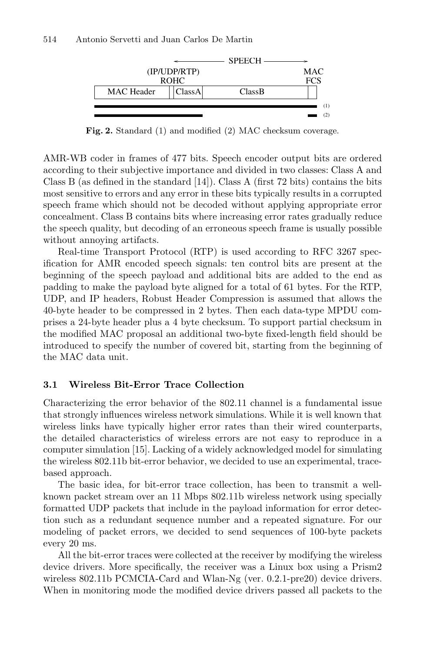

**Fig. 2.** Standard (1) and modified (2) MAC checksum coverage.

AMR-WB coder in frames of 477 bits. Speech encoder output bits are ordered according to their subjective importance and divided in two classes: Class A and Class B (as defined in the standard  $(14)$ ). Class A (first 72 bits) contains the bits most sensitive to errors and any error in these bits typically results in a corrupted speech frame which should not be decoded without applying appropriate error concealment. Class B contains bits where increasing error rates gradually reduce the speech quality, but decoding of an erroneous speech frame is usually possible without annoying artifacts.

Real-time Transport Protocol (RTP) is used according to RFC 3267 specification for AMR encoded speech signals: ten control bits are present at the beginning of the speech payload and additional bits are added to the end as padding to make the payload byte aligned for a total of 61 bytes. For the RTP, UDP, and IP headers, Robust Header Compression is assumed that allows the 40-byte header to be compressed in 2 bytes. Then each data-type MPDU comprises a 24-byte header plus a 4 byte checksum. To support partial checksum in the modified MAC proposal an additional two-byte fixed-length field should be introduced to specify the number of covered bit, starting from the beginning of the MAC data unit.

### **3.1 Wireless Bit-Error Trace Collection**

Characterizing the error behavior of the 802.11 channel is a fundamental issue that strongly influences wireless network simulations. While it is well known that wireless links have typically higher error rates than their wired counterparts, the detailed characteristics of wireless errors are not easy to reproduce in a computer simulation [15]. Lacking of a widely acknowledged model for simulating the wireless 802.11b bit-error behavior, we decided to use an experimental, tracebased approach.

The basic idea, for bit-error trace collection, has been to transmit a wellknown packet stream over an 11 Mbps 802.11b wireless network using specially formatted UDP packets that include in the payload information for error detection such as a redundant sequence number and a repeated signature. For our modeling of packet errors, we decided to send sequences of 100-byte packets every 20 ms.

All the bit-error traces were collected at the receiver by modifying the wireless device drivers. More specifically, the receiver was a Linux box using a Prism2 wireless 802.11b PCMCIA-Card and Wlan-Ng (ver. 0.2.1-pre20) device drivers. When in monitoring mode the modified device drivers passed all packets to the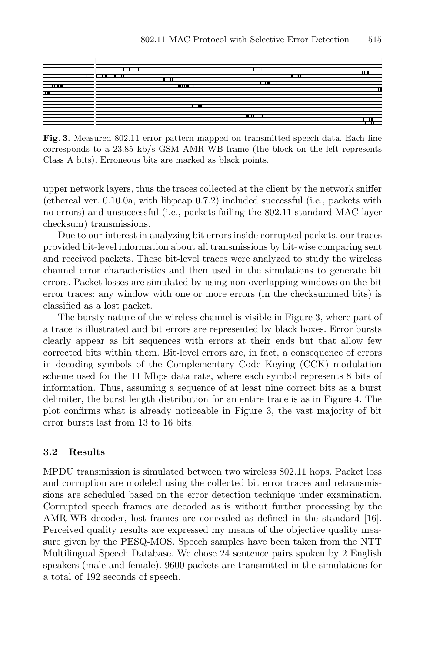

**Fig. 3.** Measured 802.11 error pattern mapped on transmitted speech data. Each line corresponds to a 23.85 kb/s GSM AMR-WB frame (the block on the left represents Class A bits). Erroneous bits are marked as black points.

upper network layers, thus the traces collected at the client by the network sniffer (ethereal ver. 0.10.0a, with libpcap 0.7.2) included successful (i.e., packets with no errors) and unsuccessful (i.e., packets failing the 802.11 standard MAC layer checksum) transmissions.

Due to our interest in analyzing bit errors inside corrupted packets, our traces provided bit-level information about all transmissions by bit-wise comparing sent and received packets. These bit-level traces were analyzed to study the wireless channel error characteristics and then used in the simulations to generate bit errors. Packet losses are simulated by using non overlapping windows on the bit error traces: any window with one or more errors (in the checksummed bits) is classified as a lost packet.

The bursty nature of the wireless channel is visible in Figure 3, where part of a trace is illustrated and bit errors are represented by black boxes. Error bursts clearly appear as bit sequences with errors at their ends but that allow few corrected bits within them. Bit-level errors are, in fact, a consequence of errors in decoding symbols of the Complementary Code Keying (CCK) modulation scheme used for the 11 Mbps data rate, where each symbol represents 8 bits of information. Thus, assuming a sequence of at least nine correct bits as a burst delimiter, the burst length distribution for an entire trace is as in Figure 4. The plot confirms what is already noticeable in Figure 3, the vast majority of bit error bursts last from 13 to 16 bits.

#### **3.2 Results**

MPDU transmission is simulated between two wireless 802.11 hops. Packet loss and corruption are modeled using the collected bit error traces and retransmissions are scheduled based on the error detection technique under examination. Corrupted speech frames are decoded as is without further processing by the AMR-WB decoder, lost frames are concealed as defined in the standard [16]. Perceived quality results are expressed my means of the objective quality measure given by the PESQ-MOS. Speech samples have been taken from the NTT Multilingual Speech Database. We chose 24 sentence pairs spoken by 2 English speakers (male and female). 9600 packets are transmitted in the simulations for a total of 192 seconds of speech.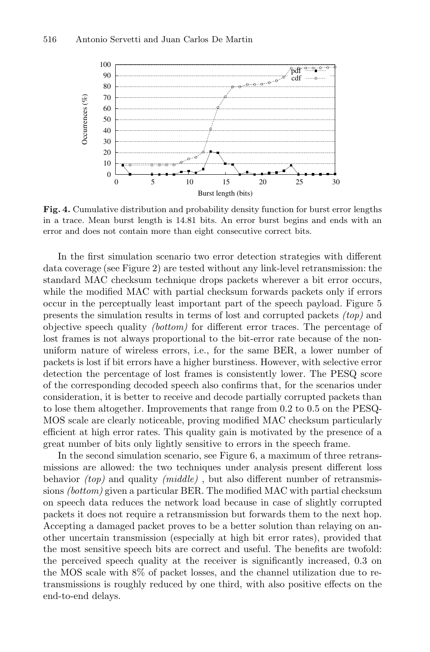

**Fig. 4.** Cumulative distribution and probability density function for burst error lengths in a trace. Mean burst length is 14.81 bits. An error burst begins and ends with an error and does not contain more than eight consecutive correct bits.

In the first simulation scenario two error detection strategies with different data coverage (see Figure 2) are tested without any link-level retransmission: the standard MAC checksum technique drops packets wherever a bit error occurs, while the modified MAC with partial checksum forwards packets only if errors occur in the perceptually least important part of the speech payload. Figure 5 presents the simulation results in terms of lost and corrupted packets *(top)* and objective speech quality *(bottom)* for different error traces. The percentage of lost frames is not always proportional to the bit-error rate because of the nonuniform nature of wireless errors, i.e., for the same BER, a lower number of packets is lost if bit errors have a higher burstiness. However, with selective error detection the percentage of lost frames is consistently lower. The PESQ score of the corresponding decoded speech also confirms that, for the scenarios under consideration, it is better to receive and decode partially corrupted packets than to lose them altogether. Improvements that range from 0.2 to 0.5 on the PESQ-MOS scale are clearly noticeable, proving modified MAC checksum particularly efficient at high error rates. This quality gain is motivated by the presence of a great number of bits only lightly sensitive to errors in the speech frame.

In the second simulation scenario, see Figure 6, a maximum of three retransmissions are allowed: the two techniques under analysis present different loss behavior *(top)* and quality *(middle)* , but also different number of retransmissions *(bottom)* given a particular BER. The modified MAC with partial checksum on speech data reduces the network load because in case of slightly corrupted packets it does not require a retransmission but forwards them to the next hop. Accepting a damaged packet proves to be a better solution than relaying on another uncertain transmission (especially at high bit error rates), provided that the most sensitive speech bits are correct and useful. The benefits are twofold: the perceived speech quality at the receiver is significantly increased, 0.3 on the MOS scale with 8% of packet losses, and the channel utilization due to retransmissions is roughly reduced by one third, with also positive effects on the end-to-end delays.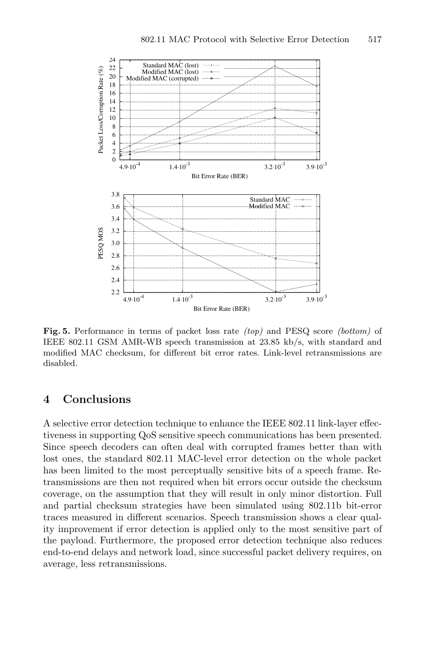

**Fig. 5.** Performance in terms of packet loss rate *(top)* and PESQ score *(bottom)* of IEEE 802.11 GSM AMR-WB speech transmission at 23.85 kb/s, with standard and modified MAC checksum, for different bit error rates. Link-level retransmissions are disabled.

# **4 Conclusions**

A selective error detection technique to enhance the IEEE 802.11 link-layer effectiveness in supporting QoS sensitive speech communications has been presented. Since speech decoders can often deal with corrupted frames better than with lost ones, the standard 802.11 MAC-level error detection on the whole packet has been limited to the most perceptually sensitive bits of a speech frame. Retransmissions are then not required when bit errors occur outside the checksum coverage, on the assumption that they will result in only minor distortion. Full and partial checksum strategies have been simulated using 802.11b bit-error traces measured in different scenarios. Speech transmission shows a clear quality improvement if error detection is applied only to the most sensitive part of the payload. Furthermore, the proposed error detection technique also reduces end-to-end delays and network load, since successful packet delivery requires, on average, less retransmissions.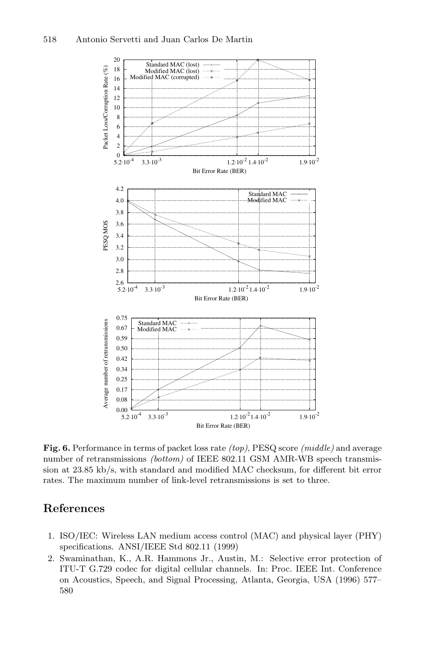

**Fig. 6.** Performance in terms of packet loss rate *(top)*, PESQ score *(middle)* and average number of retransmissions *(bottom)* of IEEE 802.11 GSM AMR-WB speech transmission at 23.85 kb/s, with standard and modified MAC checksum, for different bit error rates. The maximum number of link-level retransmissions is set to three.

# **References**

- 1. ISO/IEC: Wireless LAN medium access control (MAC) and physical layer (PHY) specifications. ANSI/IEEE Std 802.11 (1999)
- 2. Swaminathan, K., A.R. Hammons Jr., Austin, M.: Selective error protection of ITU-T G.729 codec for digital cellular channels. In: Proc. IEEE Int. Conference on Acoustics, Speech, and Signal Processing, Atlanta, Georgia, USA (1996) 577– 580